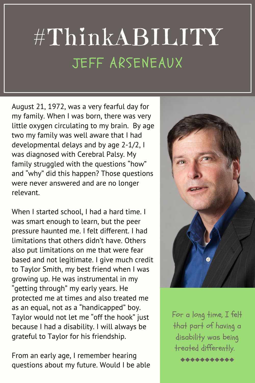## #ThinkABILITY JEFF ARSENEAUX

August 21, 1972, was a very fearful day for my family. When I was born, there was very little oxygen circulating to my brain. By age two my family was well aware that I had developmental delays and by age 2-1/2, I was diagnosed with Cerebral Palsy. My family struggled with the questions "how" and "why" did this happen? Those questions were never answered and are no longer relevant.

When I started school, I had a hard time. I was smart enough to learn, but the peer pressure haunted me. I felt different. I had limitations that others didn't have. Others also put limitations on me that were fear based and not legitimate. I give much credit to Taylor Smith, my best friend when I was growing up. He was instrumental in my "getting through" my early years. He protected me at times and also treated me as an equal, not as a "handicapped" boy. Taylor would not let me "off the hook" just because I had a disability. I will always be grateful to Taylor for his friendship.

From an early age, I remember hearing questions about my future. Would I be able



For a long time, I felt that part of having a disability was being treated differently. \*\*\*\*\*\*\*\*\*\*\*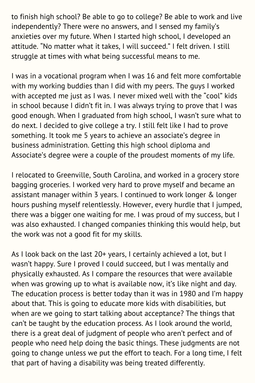to finish high school? Be able to go to college? Be able to work and live independently? There were no answers, and I sensed my family's anxieties over my future. When I started high school, I developed an attitude. "No matter what it takes, I will succeed." I felt driven. I still struggle at times with what being successful means to me.

I was in a vocational program when I was 16 and felt more comfortable with my working buddies than I did with my peers. The guys I worked with accepted me just as I was. I never mixed well with the "cool" kids in school because I didn't fit in. I was always trying to prove that I was good enough. When I graduated from high school, I wasn't sure what to do next. I decided to give college a try. I still felt like I had to prove something. It took me 5 years to achieve an associate's degree in business administration. Getting this high school diploma and Associate's degree were a couple of the proudest moments of my life.

I relocated to Greenville, South Carolina, and worked in a grocery store bagging groceries. I worked very hard to prove myself and became an assistant manager within 3 years. I continued to work longer & longer hours pushing myself relentlessly. However, every hurdle that I jumped, there was a bigger one waiting for me. I was proud of my success, but I was also exhausted. I changed companies thinking this would help, but the work was not a good fit for my skills.

As I look back on the last 20+ years, I certainly achieved a lot, but I wasn't happy. Sure I proved I could succeed, but I was mentally and physically exhausted. As I compare the resources that were available when was growing up to what is available now, it's like night and day. The education process is better today than it was in 1980 and I'm happy about that. This is going to educate more kids with disabilities, but when are we going to start talking about acceptance? The things that can't be taught by the education process. As I look around the world, there is a great deal of judgment of people who aren't perfect and of people who need help doing the basic things. These judgments are not going to change unless we put the effort to teach. For a long time, I felt that part of having a disability was being treated differently.